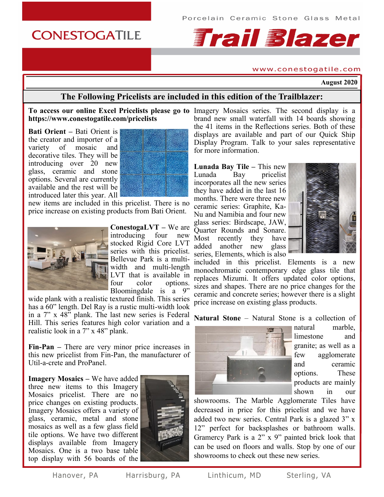## **CONESTOGATILE**

# **Frail Blazer**

#### www.conestogatile.com

**August 2020**

## **The Following Pricelists are included in this edition of the Trailblazer:**

#### **To access our online Excel Pricelists please go to**  Imagery Mosaics series. The second display is a **https://www.conestogatile.com/pricelists**

**Bati Orient –** Bati Orient is the creator and importer of a variety of mosaic and decorative tiles. They will be introducing over 20 new glass, ceramic and stone options. Several are currently available and the rest will be introduced later this year. All



new items are included in this pricelist. There is no price increase on existing products from Bati Orient.



**ConestogaLVT –** We are introducing four new stocked Rigid Core LVT series with this pricelist. Bellevue Park is a multiwidth and multi-length LVT that is available in<br>four color options. four color options. Bloomingdale is a 9"

wide plank with a realistic textured finish. This series has a 60" length. Del Ray is a rustic multi-width look in a 7" x 48" plank. The last new series is Federal Hill. This series features high color variation and a realistic look in a 7" x 48" plank.

**Fin-Pan –** There are very minor price increases in this new pricelist from Fin-Pan, the manufacturer of Util-a-crete and ProPanel.

**Imagery Mosaics –** We have added three new items to this Imagery Mosaics pricelist. There are no price changes on existing products. Imagery Mosaics offers a variety of glass, ceramic, metal and stone mosaics as well as a few glass field tile options. We have two different displays available from Imagery Mosaics. One is a two base table top display with 56 boards of the



brand new small waterfall with 14 boards showing the 41 items in the Reflections series. Both of these displays are available and part of our Quick Ship Display Program. Talk to your sales representative for more information.

**Lunada Bay Tile –** This new Lunada Bay pricelist incorporates all the new series they have added in the last 16 months. There were three new ceramic series: Graphite, Ka-Nu and Namibia and four new glass series: Birdscape, JAW, Quarter Rounds and Sonare. Most recently they have added another new glass series, Elements, which is also



included in this pricelist. Elements is a new monochromatic contemporary edge glass tile that replaces Mizumi. It offers updated color options, sizes and shapes. There are no price changes for the ceramic and concrete series; however there is a slight price increase on existing glass products.

**Natural Stone** – Natural Stone is a collection of



natural marble, limestone and granite; as well as a few agglomerate and ceramic options. These products are mainly shown in our

showrooms. The Marble Agglomerate Tiles have decreased in price for this pricelist and we have added two new series. Central Park is a glazed 3" x 12" perfect for backsplashes or bathroom walls. Gramercy Park is a 2" x 9" painted brick look that can be used on floors and walls. Stop by one of our showrooms to check out these new series.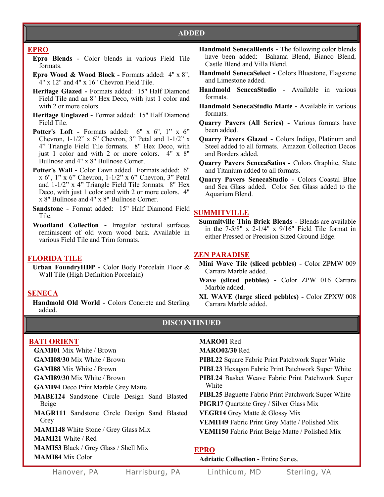## **ADDED**

#### **EPRO**

- **Epro Blends -** Color blends in various Field Tile formats.
- **Epro Wood & Wood Block -** Formats added: 4" x 8", 4" x 12" and 4" x 16" Chevron Field Tile.
- **Heritage Glazed -** Formats added: 15" Half Diamond Field Tile and an 8" Hex Deco, with just 1 color and with 2 or more colors.
- **Heritage Unglazed -** Format added: 15" Half Diamond Field Tile.
- **Potter's Loft -** Formats added: 6" x 6", 1" x 6" Chevron, 1-1/2" x 6" Chevron, 3" Petal and 1-1/2" x 4" Triangle Field Tile formats. 8" Hex Deco, with just 1 color and with 2 or more colors. 4" x 8" Bullnose and 4" x 8" Bullnose Corner.
- **Potter's Wall -** Color Fawn added. Formats added: 6" x 6", 1" x 6" Chevron, 1-1/2" x 6" Chevron, 3" Petal and 1-1/2" x 4" Triangle Field Tile formats. 8" Hex Deco, with just 1 color and with 2 or more colors. 4" x 8" Bullnose and 4" x 8" Bullnose Corner.
- **Sandstone -** Format added: 15" Half Diamond Field Tile.
- **Woodland Collection -** Irregular textural surfaces reminiscent of old worn wood bark. Available in various Field Tile and Trim formats.

#### **FLORIDA TILE**

**Urban FoundryHDP -** Color Body Porcelain Floor & Wall Tile (High Definition Porcelain)

#### **SENECA**

**Handmold Old World -** Colors Concrete and Sterling added.

- **Handmold SenecaBlends -** The following color blends have been added: Bahama Blend, Bianco Blend, Castle Blend and Villa Blend.
- **Handmold SenecaSelect -** Colors Bluestone, Flagstone and Limestone added.
- **Handmold SenecaStudio -** Available in various formats.
- **Handmold SenecaStudio Matte -** Available in various formats.
- **Quarry Pavers (All Series) -** Various formats have been added.
- **Quarry Pavers Glazed -** Colors Indigo, Platinum and Steel added to all formats. Amazon Collection Decos and Borders added.
- **Quarry Pavers SenecaSatins -** Colors Graphite, Slate and Titanium added to all formats.
- **Quarry Pavers SenecaStudio -** Colors Coastal Blue and Sea Glass added. Color Sea Glass added to the Aquarium Blend.

## **SUMMITVILLE**

**Summitville Thin Brick Blends -** Blends are available in the  $7-5/8$ " x  $2-1/4$ " x  $9/16$ " Field Tile format in either Pressed or Precision Sized Ground Edge.

#### **ZEN PARADISE**

- **Mini Wave Tile (sliced pebbles) -** Color ZPMW 009 Carrara Marble added.
- **Wave (sliced pebbles) -** Color ZPW 016 Carrara Marble added.
- **XL WAVE (large sliced pebbles) -** Color ZPXW 008 Carrara Marble added.

#### **DISCONTINUED**

#### **BATI ORIENT**

**GAMI01** Mix White / Brown

**GAMI08/30** Mix White / Brown

**GAMI88** Mix White / Brown

**GAMI89/30** Mix White / Brown

**GAMI94** Deco Print Marble Grey Matte

- **MABE124** Sandstone Circle Design Sand Blasted Beige
- **MAGR111** Sandstone Circle Design Sand Blasted Grey

**MAMI148** White Stone / Grey Glass Mix

**MAMI21** White / Red

**MAMI53** Black / Grey Glass / Shell Mix

**MAMI84** Mix Color

**MARO01** Red

**MARO02/30** Red

**PIBL22** Square Fabric Print Patchwork Super White

- **PIBL23** Hexagon Fabric Print Patchwork Super White
- **PIBL24** Basket Weave Fabric Print Patchwork Super White
- **PIBL25** Baguette Fabric Print Patchwork Super White
- **PIGR17** Quartzite Grey / Silver Glass Mix
- **VEGR14** Grey Matte & Glossy Mix
- **VEMI149** Fabric Print Grey Matte / Polished Mix
- **VEMI150** Fabric Print Beige Matte / Polished Mix

#### **EPRO**

**Adriatic Collection -** Entire Series.